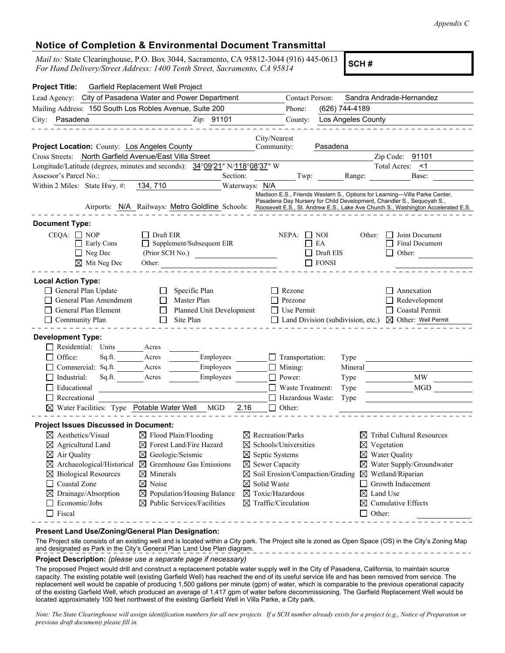## **Notice of Completion & Environmental Document Transmittal**

*Mail to:* State Clearinghouse, P.O. Box 3044, Sacramento, CA 95812-3044 (916) 445-0613 *For Hand Delivery/Street Address: 1400 Tenth Street, Sacramento, CA 95814* (910) 445-0013 **SCH # SCH #** 

| <b>Project Title:</b>                                                         | Garfield Replacement Well Project                       |                                        |                                                                             |                                             |                                                     |                    |                        |                                                                                                                                                                                                                                                                                                      |
|-------------------------------------------------------------------------------|---------------------------------------------------------|----------------------------------------|-----------------------------------------------------------------------------|---------------------------------------------|-----------------------------------------------------|--------------------|------------------------|------------------------------------------------------------------------------------------------------------------------------------------------------------------------------------------------------------------------------------------------------------------------------------------------------|
| Lead Agency: City of Pasadena Water and Power Department                      | Contact Person:<br>Sandra Andrade-Hernandez             |                                        |                                                                             |                                             |                                                     |                    |                        |                                                                                                                                                                                                                                                                                                      |
| Mailing Address: 150 South Los Robles Avenue, Suite 200                       |                                                         |                                        |                                                                             |                                             | (626) 744-4189<br>Phone:                            |                    |                        |                                                                                                                                                                                                                                                                                                      |
| City: Pasadena                                                                |                                                         |                                        | Zip: 91101                                                                  |                                             | County:                                             | Los Angeles County |                        |                                                                                                                                                                                                                                                                                                      |
|                                                                               |                                                         |                                        |                                                                             |                                             |                                                     |                    |                        |                                                                                                                                                                                                                                                                                                      |
| Project Location: County: Los Angeles County                                  |                                                         |                                        |                                                                             | City/Nearest<br>Community:                  |                                                     | Pasadena           |                        |                                                                                                                                                                                                                                                                                                      |
| Cross Streets: North Garfield Avenue/East Villa Street                        |                                                         |                                        |                                                                             |                                             |                                                     |                    |                        | Zip Code: 91101                                                                                                                                                                                                                                                                                      |
|                                                                               |                                                         |                                        | Longitude/Latitude (degrees, minutes and seconds): 34°09′21″ N/118°08′37″ W |                                             |                                                     |                    |                        | Total Acres: <1                                                                                                                                                                                                                                                                                      |
| Assessor's Parcel No.:                                                        |                                                         |                                        | Section:                                                                    |                                             | Twp: Range:                                         |                    |                        | Base:                                                                                                                                                                                                                                                                                                |
| Within 2 Miles: State Hwy. #: 134, 710                                        |                                                         |                                        |                                                                             | Waterways: N/A                              |                                                     |                    |                        |                                                                                                                                                                                                                                                                                                      |
|                                                                               |                                                         |                                        |                                                                             |                                             |                                                     |                    |                        | Madison E.S., Friends Western S., Options for Learning-Villa Parke Center,<br>Pasadena Day Nursery for Child Development, Chandler S., Sequoyah S.,<br>Airports: N/A Railways: Metro Goldline Schools: Roosevelt E.S., St. Andrew E.S., Lake Ave Church S., Washington Accelerated E.S.              |
| <b>Document Type:</b>                                                         |                                                         |                                        |                                                                             |                                             |                                                     |                    |                        |                                                                                                                                                                                                                                                                                                      |
| $CEQA: \Box NOP$<br>$\mathbf{I}$                                              | Early Cons<br>$\Box$ Neg Dec<br>$\boxtimes$ Mit Neg Dec | Draft EIR<br>Other:                    | Supplement/Subsequent EIR<br>(Prior SCH No.)                                |                                             | NEPA:<br>$\Box$ NOI<br>EA<br>$\Box$<br>$\Box$ FONSI | Draft EIS          | Other:                 | Joint Document<br><b>Final Document</b><br>Other:                                                                                                                                                                                                                                                    |
| <b>Local Action Type:</b>                                                     |                                                         |                                        |                                                                             |                                             |                                                     |                    |                        |                                                                                                                                                                                                                                                                                                      |
| General Plan Update                                                           |                                                         | $\mathbf{L}$                           | Specific Plan                                                               |                                             | Rezone                                              |                    |                        | Annexation                                                                                                                                                                                                                                                                                           |
|                                                                               | General Plan Amendment                                  |                                        | Master Plan                                                                 |                                             | Prezone                                             |                    |                        | $\Box$ Redevelopment                                                                                                                                                                                                                                                                                 |
| General Plan Element                                                          |                                                         | $\mathsf{L}$                           | Planned Unit Development                                                    |                                             | $\Box$ Use Permit                                   |                    |                        | $\Box$ Coastal Permit                                                                                                                                                                                                                                                                                |
| Community Plan                                                                |                                                         |                                        | Site Plan                                                                   |                                             |                                                     |                    |                        | $\Box$ Land Division (subdivision, etc.) $\boxtimes$ Other: Well Permit                                                                                                                                                                                                                              |
| <b>Development Type:</b><br>Residential:<br>Office:                           | Units                                                   | Acres<br>Acres                         |                                                                             |                                             |                                                     |                    |                        |                                                                                                                                                                                                                                                                                                      |
|                                                                               | Sq.ft.<br>Commercial: Sq.ft.                            | Acres                                  | Employees<br>Employees                                                      |                                             | $\Box$ Transportation:<br>$\Box$ Mining:            | Type<br>Mineral    |                        |                                                                                                                                                                                                                                                                                                      |
| Industrial:                                                                   | Sq.ft.                                                  | Acres                                  | Employees                                                                   |                                             | $\Box$ Power:                                       | Type               |                        | MW                                                                                                                                                                                                                                                                                                   |
| Educational                                                                   |                                                         |                                        |                                                                             |                                             | □ Waste Treatment:                                  | Type               |                        | <b>MGD</b>                                                                                                                                                                                                                                                                                           |
| Recreational                                                                  |                                                         |                                        |                                                                             |                                             | □ Hazardous Waste:                                  | Type               |                        |                                                                                                                                                                                                                                                                                                      |
|                                                                               | $\boxtimes$ Water Facilities: Type Potable Water Well   |                                        | MGD                                                                         | 2.16                                        | $\Box$ Other:                                       |                    |                        |                                                                                                                                                                                                                                                                                                      |
|                                                                               |                                                         |                                        |                                                                             |                                             |                                                     |                    |                        |                                                                                                                                                                                                                                                                                                      |
| <b>Project Issues Discussed in Document:</b><br>$\boxtimes$ Aesthetics/Visual |                                                         |                                        | $\boxtimes$ Flood Plain/Flooding                                            | $\boxtimes$ Recreation/Parks                |                                                     |                    |                        | $\boxtimes$ Tribal Cultural Resources                                                                                                                                                                                                                                                                |
| $\boxtimes$ Agricultural Land                                                 |                                                         | $\boxtimes$ Forest Land/Fire Hazard    |                                                                             | $\boxtimes$ Schools/Universities            |                                                     |                    | $\boxtimes$ Vegetation |                                                                                                                                                                                                                                                                                                      |
| $\boxtimes$ Air Quality                                                       |                                                         | $\boxtimes$ Geologic/Seismic           |                                                                             | $\boxtimes$ Septic Systems                  |                                                     |                    |                        | $\boxtimes$ Water Quality                                                                                                                                                                                                                                                                            |
| $\boxtimes$ Archaeological/Historical                                         |                                                         | $\boxtimes$ Greenhouse Gas Emissions   |                                                                             | $\boxtimes$ Sewer Capacity                  |                                                     |                    |                        | $\boxtimes$ Water Supply/Groundwater                                                                                                                                                                                                                                                                 |
| $\boxtimes$ Biological Resources                                              |                                                         | $\boxtimes$ Minerals                   |                                                                             | $\boxtimes$ Soil Erosion/Compaction/Grading |                                                     |                    |                        | $\boxtimes$ Wetland/Riparian                                                                                                                                                                                                                                                                         |
| <b>Coastal Zone</b><br>$\perp$                                                |                                                         | $\boxtimes$ Noise                      |                                                                             |                                             | $\boxtimes$ Solid Waste                             |                    |                        | Growth Inducement                                                                                                                                                                                                                                                                                    |
| $\boxtimes$ Drainage/Absorption                                               |                                                         | $\boxtimes$ Population/Housing Balance |                                                                             |                                             | $\boxtimes$ Toxic/Hazardous                         |                    | ⊠                      | Land Use                                                                                                                                                                                                                                                                                             |
| Economic/Jobs<br>ΙI                                                           |                                                         | $\boxtimes$ Public Services/Facilities |                                                                             |                                             | $\boxtimes$ Traffic/Circulation                     |                    |                        | $\boxtimes$ Cumulative Effects                                                                                                                                                                                                                                                                       |
| $\Box$ Fiscal                                                                 |                                                         |                                        |                                                                             |                                             |                                                     |                    | $\Box$ Other:          |                                                                                                                                                                                                                                                                                                      |
| Present Land Use/Zoning/General Plan Designation:                             |                                                         |                                        |                                                                             |                                             |                                                     |                    |                        |                                                                                                                                                                                                                                                                                                      |
|                                                                               |                                                         |                                        | and designated as Park in the City's General Plan Land Use Plan diagram.    |                                             | ___________________________                         |                    |                        | The Project site consists of an existing well and is located within a City park. The Project site is zoned as Open Space (OS) in the City's Zoning Map                                                                                                                                               |
|                                                                               |                                                         |                                        | <b>Project Description:</b> (please use a separate page if necessary)       |                                             |                                                     |                    |                        |                                                                                                                                                                                                                                                                                                      |
|                                                                               |                                                         |                                        |                                                                             |                                             |                                                     |                    |                        | The proposed Project would drill and construct a replacement potable water supply well in the City of Pasadena, California, to maintain source<br>capacity. The existing potable well (existing Carfield Well) has reached the end of its useful service life and has been removed from service. The |

capacity. The existing potable well (existing Garfield Well) has reached the end of its useful service life and has been removed from service. The replacement well would be capable of producing 1,500 gallons per minute (gpm) of water, which is comparable to the previous operational capacity of the existing Garfield Well, which produced an average of 1,417 gpm of water before decommissioning. The Garfield Replacement Well would be located approximately 100 feet northwest of the existing Garfield Well in Villa Parke, a City park.

*Note: The State Clearinghouse will assign identification numbers for all new projects. If a SCH number already exists for a project (e.g., Notice of Preparation or previous draft document) please fill in.*